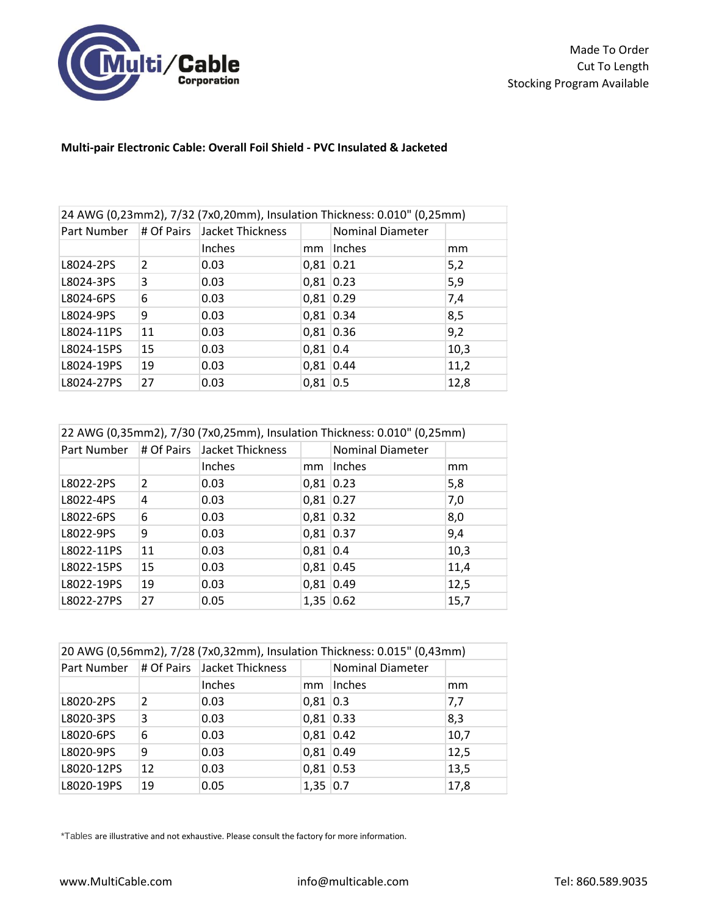

## **Multi-pair Electronic Cable: Overall Foil Shield - PVC Insulated & Jacketed**

| 24 AWG (0,23mm2), 7/32 (7x0,20mm), Insulation Thickness: 0.010" (0,25mm) |    |                                         |             |                         |      |
|--------------------------------------------------------------------------|----|-----------------------------------------|-------------|-------------------------|------|
|                                                                          |    | Part Number # Of Pairs Jacket Thickness |             | <b>Nominal Diameter</b> |      |
|                                                                          |    | Inches                                  | mm          | Inches                  | mm   |
| L8024-2PS                                                                | 2  | 0.03                                    | $0,81$ 0.21 |                         | 5,2  |
| L8024-3PS                                                                | 3  | 0.03                                    | $0,81$ 0.23 |                         | 5,9  |
| L8024-6PS                                                                | 6  | 0.03                                    | 0,81 0.29   |                         | 7,4  |
| L8024-9PS                                                                | 9  | 0.03                                    | 0,81 0.34   |                         | 8,5  |
| L8024-11PS                                                               | 11 | 0.03                                    | 0,81 0.36   |                         | 9,2  |
| L8024-15PS                                                               | 15 | 0.03                                    | $0,81$ 0.4  |                         | 10,3 |
| L8024-19PS                                                               | 19 | 0.03                                    | 0,81 0.44   |                         | 11,2 |
| L8024-27PS                                                               | 27 | 0.03                                    | $0,81$ 0.5  |                         | 12,8 |

| 22 AWG (0,35mm2), 7/30 (7x0,25mm), Insulation Thickness: 0.010" (0,25mm) |               |                             |             |                         |      |
|--------------------------------------------------------------------------|---------------|-----------------------------|-------------|-------------------------|------|
| Part Number                                                              |               | # Of Pairs Jacket Thickness |             | <b>Nominal Diameter</b> |      |
|                                                                          |               | Inches                      | mm          | Inches                  | mm   |
| L8022-2PS                                                                | $\mathcal{P}$ | 0.03                        |             | $0,81$ 0.23             | 5,8  |
| L8022-4PS                                                                | 4             | 0.03                        |             | 0,81 0.27               | 7,0  |
| L8022-6PS                                                                | 6             | 0.03                        | $0,81$ 0.32 |                         | 8,0  |
| L8022-9PS                                                                | 9             | 0.03                        | $0,81$ 0.37 |                         | 9,4  |
| L8022-11PS                                                               | 11            | 0.03                        | $0,81$ 0.4  |                         | 10,3 |
| L8022-15PS                                                               | 15            | 0.03                        |             | 0,81 0.45               | 11,4 |
| L8022-19PS                                                               | 19            | 0.03                        | $0,81$ 0.49 |                         | 12,5 |
| L8022-27PS                                                               | 27            | 0.05                        | 1,35 0.62   |                         | 15,7 |

| 20 AWG (0,56mm2), 7/28 (7x0,32mm), Insulation Thickness: 0.015" (0,43mm) |               |                                             |             |                         |      |
|--------------------------------------------------------------------------|---------------|---------------------------------------------|-------------|-------------------------|------|
|                                                                          |               | Part Number   # Of Pairs   Jacket Thickness |             | <b>Nominal Diameter</b> |      |
|                                                                          |               | Inches                                      | mm          | Inches                  | mm   |
| L8020-2PS                                                                | $\mathcal{P}$ | 0.03                                        | $0,81$ 0.3  |                         | 7,7  |
| L8020-3PS                                                                | 3             | 0.03                                        | 0,81 0.33   |                         | 8,3  |
| L8020-6PS                                                                | 6             | 0.03                                        | $0,81$ 0.42 |                         | 10,7 |
| L8020-9PS                                                                | 9             | 0.03                                        | 0,81 0.49   |                         | 12,5 |
| L8020-12PS                                                               | 12            | 0.03                                        | 0,81 0.53   |                         | 13,5 |
| L8020-19PS                                                               | 19            | 0.05                                        | $1,35$ 0.7  |                         | 17,8 |

\*Tables are illustrative and not exhaustive. Please consult the factory for more information.